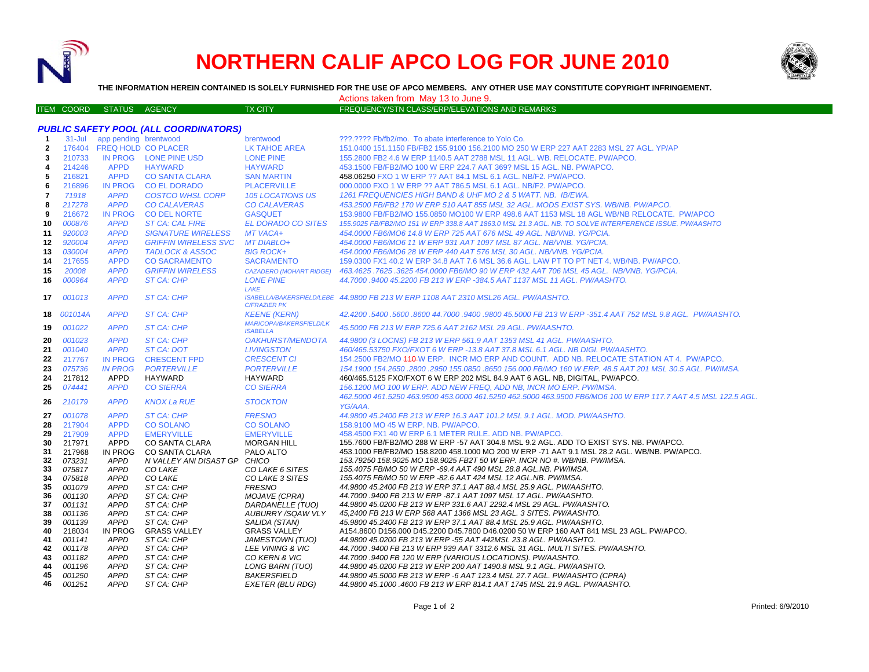

## **NORTHERN CALIF APCO LOG FOR JUNE 2010**



**THE INFORMATION HEREIN CONTAINED IS SOLELY FURNISHED FOR THE USE OF APCO MEMBERS. ANY OTHER USE MAY CONSTITUTE COPYRIGHT INFRINGEMENT.**

Actions taken from May 13 to June 9.

ITEM COORD STATUS AGENCY TX CITY TREQUENCY/STN CLASS/ERP/ELEVATIONS AND REMARKS

| <b>PUBLIC SAFETY POOL (ALL COORDINATORS)</b> |                  |                               |                                   |                                                   |                                                                                                                                                                |  |  |
|----------------------------------------------|------------------|-------------------------------|-----------------------------------|---------------------------------------------------|----------------------------------------------------------------------------------------------------------------------------------------------------------------|--|--|
| $\mathbf{1}$                                 | 31-Jul           | app pending brentwood         |                                   | brentwood                                         | ???.???? Fb/fb2/mo. To abate interference to Yolo Co.                                                                                                          |  |  |
| $\overline{2}$                               |                  | 176404 FREQ HOLD CO PLACER    |                                   | <b>LK TAHOE AREA</b>                              | 151.0400 151.1150 FB/FB2 155.9100 156.2100 MO 250 W ERP 227 AAT 2283 MSL 27 AGL. YP/AP                                                                         |  |  |
| 3                                            | 210733           |                               | IN PROG LONE PINE USD             | <b>LONE PINE</b>                                  | 155,2800 FB2 4.6 W ERP 1140.5 AAT 2788 MSL 11 AGL, WB, RELOCATE, PW/APCO,                                                                                      |  |  |
| 4                                            | 214246           | <b>APPD</b>                   | <b>HAYWARD</b>                    | <b>HAYWARD</b>                                    | 453.1500 FB/FB2/MO 100 W ERP 224.7 AAT 369? MSL 15 AGL. NB. PW/APCO.                                                                                           |  |  |
| 5                                            | 216821           | <b>APPD</b>                   | <b>CO SANTA CLARA</b>             | <b>SAN MARTIN</b>                                 | 458.06250 FXO 1 W ERP ?? AAT 84.1 MSL 6.1 AGL, NB/F2, PW/APCO.                                                                                                 |  |  |
| 6                                            | 216896           | <b>IN PROG</b>                | <b>CO EL DORADO</b>               | <b>PLACERVILLE</b>                                | 000,0000 FXO 1 W ERP ?? AAT 786.5 MSL 6.1 AGL, NB/F2, PW/APCO.                                                                                                 |  |  |
| $\overline{\mathbf{r}}$                      | 71918            | <b>APPD</b>                   | <b>COSTCO WHSL CORP</b>           | <b>105 LOCATIONS US</b>                           | 1261 FREQUENCIES HIGH BAND & UHF MO 2 & 5 WATT. NB. IB/EWA.                                                                                                    |  |  |
| 8                                            | 217278           | <b>APPD</b>                   | <b>CO CALAVERAS</b>               | <b>CO CALAVERAS</b>                               | 453.2500 FB/FB2 170 W ERP 510 AAT 855 MSL 32 AGL. MODS EXIST SYS. WB/NB. PW/APCO.                                                                              |  |  |
| 9                                            | 216672           | <b>IN PROG</b>                | <b>CO DEL NORTE</b>               | <b>GASQUET</b>                                    | 153.9800 FB/FB2/MO 155.0850 MO100 W ERP 498.6 AAT 1153 MSL 18 AGL WB/NB RELOCATE. PW/APCO                                                                      |  |  |
| 10                                           | 000876           | <b>APPD</b>                   | <b>ST CA: CAL FIRE</b>            | <b>EL DORADO CO SITES</b>                         | 155.9025 FB/FB2/MO 151 W ERP 338.8 AAT 1863.0 MSL 21.3 AGL. NB. TO SOLVE INTERFERENCE ISSUE. PW/AASHTO                                                         |  |  |
| 11                                           | 920003           | <b>APPD</b>                   | <b>SIGNATURE WIRELESS</b>         | MT VACA+                                          | 454.0000 FB6/MO6 14.8 W ERP 725 AAT 676 MSL 49 AGL. NB/VNB, YG/PCIA.                                                                                           |  |  |
| 12                                           | 920004           | <b>APPD</b>                   | <b>GRIFFIN WIRELESS SVC</b>       | <b>MT DIABLO+</b>                                 | 454.0000 FB6/MO6 11 W ERP 931 AAT 1097 MSL 87 AGL. NB/VNB. YG/PCIA.                                                                                            |  |  |
| 13                                           | 030004           | <b>APPD</b>                   | <b>TADLOCK &amp; ASSOC</b>        | <b>BIG ROCK+</b>                                  | 454.0000 FB6/MO6 28 W ERP 440 AAT 576 MSL 30 AGL, NB/VNB, YG/PCIA.                                                                                             |  |  |
| 14                                           | 217655           | <b>APPD</b>                   | <b>CO SACRAMENTO</b>              | <b>SACRAMENTO</b>                                 | 159.0300 FX1 40.2 W ERP 34.8 AAT 7.6 MSL 36.6 AGL. LAW PT TO PT NET 4. WB/NB. PW/APCO.                                                                         |  |  |
| 15                                           | 20008            | <b>APPD</b>                   | <b>GRIFFIN WIRELESS</b>           | <b>CAZADERO (MOHART RIDGE)</b>                    | 463.4625 .7625 .3625 454.0000 FB6/MO 90 W ERP 432 AAT 706 MSL 45 AGL. NB/VNB. YG/PCIA.                                                                         |  |  |
| 16                                           | 000964           | <b>APPD</b>                   | <b>ST CA: CHP</b>                 | <b>LONE PINE</b>                                  | 44,7000 .9400 45,2200 FB 213 W ERP -384.5 AAT 1137 MSL 11 AGL. PW/AASHTO.                                                                                      |  |  |
|                                              |                  |                               |                                   | LAKE                                              |                                                                                                                                                                |  |  |
| 17                                           | 001013           | <b>APPD</b>                   | ST CA: CHP                        | <b>C/FRAZIER PK</b>                               | ISABELLA/BAKERSFIELD/LEBE 44.9800 FB 213 W ERP 1108 AAT 2310 MSL26 AGL. PW/AASHTO.                                                                             |  |  |
| 18                                           | 001014A          | <b>APPD</b>                   | ST CA: CHP                        | <b>KEENE (KERN)</b>                               | 42.4200.5400.5600.8600 44.7000.9400.9800 45.5000 FB 213 W ERP -351.4 AAT 752 MSL 9.8 AGL. PW/AASHTO.                                                           |  |  |
| 19                                           | 001022           | <b>APPD</b>                   | <b>ST CA: CHP</b>                 | <b>MARICOPA/BAKERSFIELD/LK</b><br><b>ISABELLA</b> | 45.5000 FB 213 W ERP 725.6 AAT 2162 MSL 29 AGL. PW/AASHTO.                                                                                                     |  |  |
| 20                                           | 001023           | <b>APPD</b>                   | ST CA: CHP                        | <b>OAKHURST/MENDOTA</b>                           | 44.9800 (3 LOCNS) FB 213 W ERP 561.9 AAT 1353 MSL 41 AGL. PW/AASHTO.                                                                                           |  |  |
| 21                                           | 001040           | <b>APPD</b>                   | ST CA: DOT                        | <b>LIVINGSTON</b>                                 | 460/465.53750 FXO/FXOT 6 W ERP -13.8 AAT 37.8 MSL 6.1 AGL. NB DIGI. PW/AASHTO.                                                                                 |  |  |
| 22                                           | 217767           | <b>IN PROG</b>                | <b>CRESCENT FPD</b>               | <b>CRESCENT CI</b>                                | 154.2500 FB2/MO 410 W ERP. INCR MO ERP AND COUNT. ADD NB. RELOCATE STATION AT 4. PW/APCO.                                                                      |  |  |
| 23                                           | 075736           | <b>IN PROG</b>                | <b>PORTERVILLE</b>                | <b>PORTERVILLE</b>                                | 154.1900 154.2650 .2800 .2950 155.0850 .8650 156.000 FB/MO 160 W ERP. 48.5 AAT 201 MSL 30.5 AGL. PW/IMSA.                                                      |  |  |
| 24                                           | 217812           | APPD                          | <b>HAYWARD</b>                    | <b>HAYWARD</b>                                    | 460/465.5125 FXO/FXOT 6 W ERP 202 MSL 84.9 AAT 6 AGL. NB, DIGITAL, PW/APCO.                                                                                    |  |  |
| 25                                           | 074441           | <b>APPD</b>                   | <b>CO SIERRA</b>                  | <b>CO SIERRA</b>                                  | 156.1200 MO 100 W ERP. ADD NEW FREQ. ADD NB. INCR MO ERP. PW/IMSA.                                                                                             |  |  |
| 26                                           | 210179           | <b>APPD</b>                   | <b>KNOX La RUE</b>                | <b>STOCKTON</b>                                   | 462.5000 461.5250 463.9500 453.0000 461.5250 462.5000 463.9500 FB6/MO6 100 W ERP 117.7 AAT 4.5 MSL 122.5 AGL.<br>YG/AAA.                                       |  |  |
| 27                                           | 001078           | <b>APPD</b>                   | ST CA: CHP                        | <b>FRESNO</b>                                     | 44.9800 45.2400 FB 213 W ERP 16.3 AAT 101.2 MSL 9.1 AGL, MOD, PW/AASHTO,                                                                                       |  |  |
| 28                                           | 217904           | <b>APPD</b>                   | <b>CO SOLANO</b>                  | <b>CO SOLANO</b>                                  | 158,9100 MO 45 W ERP. NB. PW/APCO.                                                                                                                             |  |  |
| 29                                           | 217909           | <b>APPD</b>                   | <b>EMERYVILLE</b>                 | <b>EMERYVILLE</b>                                 | 458,4500 FX1 40 W ERP 6.1 METER RULE, ADD NB, PW/APCO.                                                                                                         |  |  |
| 30                                           | 217971           | <b>APPD</b>                   | CO SANTA CLARA                    | <b>MORGAN HILL</b>                                | 155.7600 FB/FB2/MO 288 W ERP -57 AAT 304.8 MSL 9.2 AGL. ADD TO EXIST SYS. NB. PW/APCO.                                                                         |  |  |
| 31                                           | 217968           | IN PROG                       | <b>CO SANTA CLARA</b>             | PALO ALTO                                         | 453.1000 FB/FB2/MO 158.8200 458.1000 MO 200 W ERP -71 AAT 9.1 MSL 28.2 AGL. WB/NB. PW/APCO.                                                                    |  |  |
| 32                                           | 073231           | <b>APPD</b>                   | N VALLEY ANI DISAST GP CHICO      |                                                   | 153.79250 158.9025 MO 158.9025 FB2T 50 W ERP. INCR NO #. WB/NB. PW/IMSA.                                                                                       |  |  |
| 33                                           | 075817           | <b>APPD</b>                   | <b>CO LAKE</b>                    | CO LAKE 6 SITES                                   | 155.4075 FB/MO 50 W ERP -69.4 AAT 490 MSL 28.8 AGL.NB. PW/IMSA.                                                                                                |  |  |
| 34                                           | 075818           | <b>APPD</b>                   | <b>CO LAKE</b>                    | CO LAKE 3 SITES                                   | 155.4075 FB/MO 50 W ERP -82.6 AAT 424 MSL 12 AGL.NB. PW/IMSA.                                                                                                  |  |  |
| 35                                           | 001079           | <b>APPD</b>                   | ST CA: CHP                        | <b>FRESNO</b>                                     | 44.9800 45.2400 FB 213 W ERP 37.1 AAT 88.4 MSL 25.9 AGL. PW/AASHTO.                                                                                            |  |  |
| 36                                           | 001130           | <b>APPD</b>                   | ST CA: CHP                        | <b>MOJAVE (CPRA)</b>                              | 44.7000.9400 FB 213 W ERP -87.1 AAT 1097 MSL 17 AGL. PW/AASHTO.                                                                                                |  |  |
| 37                                           | 001131           | <b>APPD</b>                   | ST CA: CHP                        | DARDANELLE (TUO)                                  | 44.9800 45.0200 FB 213 W ERP 331.6 AAT 2292.4 MSL 29 AGL. PW/AASHTO.                                                                                           |  |  |
| 38                                           | 001136           | <b>APPD</b>                   | ST CA: CHP                        | <b>AUBURRY/SQAW VLY</b>                           | 45,2400 FB 213 W ERP 568 AAT 1366 MSL 23 AGL. 3 SITES. PW/AASHTO.                                                                                              |  |  |
| 39<br>40                                     | 001139<br>218034 | <b>APPD</b><br><b>IN PROG</b> | ST CA: CHP                        | SALIDA (STAN)<br><b>GRASS VALLEY</b>              | 45.9800 45.2400 FB 213 W ERP 37.1 AAT 88.4 MSL 25.9 AGL. PW/AASHTO.<br>A154.8600 D156.000 D45.2200 D45.7800 D46.0200 50 W ERP 160 AAT 841 MSL 23 AGL, PW/APCO. |  |  |
| 41                                           | 001141           | APPD                          | <b>GRASS VALLEY</b><br>ST CA: CHP | JAMESTOWN (TUO)                                   | 44.9800 45.0200 FB 213 W ERP -55 AAT 442MSL 23.8 AGL, PW/AASHTO.                                                                                               |  |  |
| 42                                           | 001178           | APPD                          | ST CA: CHP                        | LEE VINING & VIC                                  | 44.7000 .9400 FB 213 W ERP 939 AAT 3312.6 MSL 31 AGL. MULTI SITES. PW/AASHTO.                                                                                  |  |  |
| 43                                           | 001182           | <b>APPD</b>                   | ST CA: CHP                        | <b>CO KERN &amp; VIC</b>                          | 44.7000.9400 FB 120 W ERP (VARIOUS LOCATIONS). PW/AASHTO.                                                                                                      |  |  |
| 44                                           | 001196           | <b>APPD</b>                   | ST CA: CHP                        | LONG BARN (TUO)                                   | 44.9800 45.0200 FB 213 W ERP 200 AAT 1490.8 MSL 9.1 AGL. PW/AASHTO.                                                                                            |  |  |
| 45                                           | 001250           | <b>APPD</b>                   | ST CA: CHP                        | <b>BAKERSFIELD</b>                                | 44.9800 45.5000 FB 213 W ERP -6 AAT 123.4 MSL 27.7 AGL. PW/AASHTO (CPRA)                                                                                       |  |  |
| 46                                           | 001251           | <b>APPD</b>                   | ST CA: CHP                        | EXETER (BLU RDG)                                  | 44.9800 45.1000 .4600 FB 213 W ERP 814.1 AAT 1745 MSL 21.9 AGL. PW/AASHTO.                                                                                     |  |  |